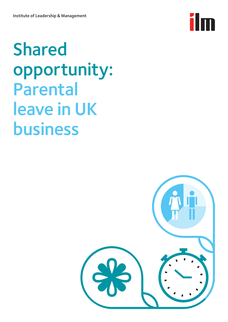

## Shared opportunity: Parental leave in UK business

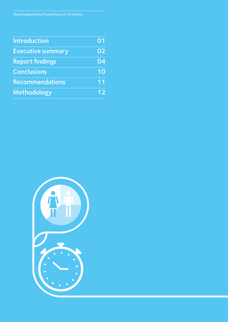| <b>Introduction</b>      | 01 |
|--------------------------|----|
| <b>Executive summary</b> | 02 |
| <b>Report findings</b>   | 04 |
| <b>Conclusions</b>       | 10 |
| <b>Recommendations</b>   | 11 |
| Methodology              | 12 |

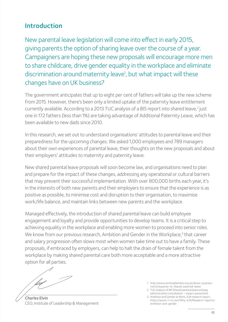## Introduction

New parental leave legislation will come into effect in early 2015, giving parents the option of sharing leave over the course of a year. Campaigners are hoping these new proposals will encourage more men to share childcare, drive gender equality in the workplace and eliminate discrimination around maternity leave<sup>1</sup>, but what impact will these changes have on UK business?

The government anticipates that up to eight per cent of fathers will take up the new scheme from 2015. However, there's been only a limited uptake of the paternity leave entitlement currently available. According to a [2](#page-2-1)013 TUC analysis of a BIS report into shared leave,<sup>2</sup> just one in 172 fathers (less than 1%) are taking advantage of Additional Paternity Leave, which has been available to new dads since 2010.

In this research, we set out to understand organisations' attitudes to parental leave and their preparedness for the upcoming changes. We asked 1,000 employees and 789 managers about their own experiences of parental leave, their thoughts on the new proposals and about their employers' attitudes to maternity and paternity leave.

New shared parental leave proposals will soon become law, and organisations need to plan and prepare for the impact of these changes, addressing any operational or cultural barriers that may prevent their successful implementation. With over 800,000 births each year, it's in the interests of both new parents and their employers to ensure that the experience is as positive as possible, to minimise cost and disruption to their organisation, to maximise work/life balance, and maintain links between new parents and the workplace.

Managed effectively, the introduction of shared parental leave can build employee engagement and loyalty and provide opportunities to develop teams. It is a critical step to achieving equality in the workplace and enabling more women to proceed into senior roles. We know from our previous research, Ambition and Gender in the Workplace,<sup>[3](#page-2-2)</sup> that career and salary progression often slows most when women take time out to have a family. These proposals, if embraced by employers, can help to halt the drain of female talent from the workplace by making shared parental care both more acceptable and a more attractive option for all parties.

Charles Elvin CEO, Institute of Leadership & Management

<span id="page-2-0"></span>1 http://www.workingfamilies.org.uk/about-us/pressroom/response-to-shared-parental-leave

<span id="page-2-1"></span>2 TUC analysis of BIS Shared parental leave and pay administration consultation – impact assessment

<span id="page-2-2"></span><sup>3</sup> Ambition and Gender at Work, ILM research report, https://www.i-l-m.com/Why-ILM/Research-reports/ Ambition-and-gender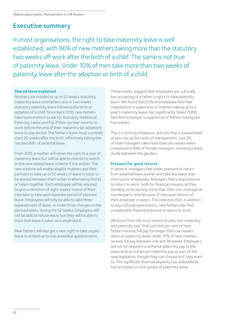## Executive summary

In most organisations, the right to take maternity leave is well established, with 96% of new mothers taking more than the statutory two weeks off work after the birth of a child. The same is not true of paternity leave. Under 10% of men take more than two weeks of paternity leave after the adoption or birth of a child.

### Shared leave explained

Mothers are entitled to up to 52 weeks statutory maternity leave and fathers one or two weeks statutory paternity leave following the birth or adoption of a child. Since April 2010, new fathers have been entitled to ask for Statutory Additional Paternity Leave and Pay if their partner returns to work before the end of their maternity (or adoption) leave or pay period. The father's leave must currently start 20 weeks after the birth, effectively taking the 'second shift' of parental leave.

From 2015, a mother will retain the right to a year of maternity leave but will be able to choose to switch to the new shared leave scheme if she wishes. The new scheme will enable eligible mothers and their partners to take up to 52 weeks of leave in total, to be shared between them either in alternating blocks or taken together. Each employee will be required to give a minimum of eight weeks' notice of their intention to take each separate period of parental leave. Employees will only be able to take three separate sets of leave, or make three changes to the planned dates, during the 52 weeks. Employers will not be able to refuse leave, but they will be able to insist that leave is taken as a single block.

New fathers will also get a new right to take unpaid leave to attend up to two antenatal appointments.

These results suggest that employers are culturally less accepting of a father's rights to take paternity leave. We found that 63% of employees feel their organisation is supportive of mothers taking up to a year's maternity leave, but significantly fewer (58%) feel their employer is supportive of fathers taking just two weeks.

This is a striking imbalance, and one that is exacerbated as you rise up the ranks of management. Just 2% of male managers take more than two weeks leave compared to 94% of female managers, showing a great divide between the genders.

### Pressure for quick returns

In general, managers feel under pressure to return from parental leave sooner and take less leave than more junior employees. Managers feel a dual pressure to return to work, both for financial reasons, as they are likely to be earning more than their non-managerial counterparts, and because of the expectations of their employer or peers. This indicates that, in addition to any cultural expectations, new fathers also feel considerable financial pressure to return to work.

We know from the most recent studies into maternity and paternity pay<sup>4</sup> that just nine per cent of new fathers receive full pay for longer than two weeks when on paternity leave, while 70% of new mothers receive full pay between one and 38 weeks. Employers will not be required to enhance paternity pay to the same level as enhanced maternity pay as part of the new legislation, though they can choose to if they want to. This significant financial disparity has undoubtedly had an impact on the uptake of paternity leave.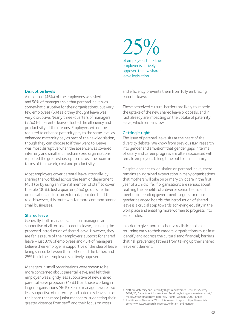#### Disruption levels

Almost half (46%) of the employees we asked and 58% of managers said that parental leave was somewhat disruptive for their organisations, but very few employees (6%) said they thought leave was very disruptive. Nearly three-quarters of managers (72%) felt parental leave affected the efficiency and productivity of their teams, Employers will not be required to enhance paternity pay to the same level as enhanced maternity pay as part of the new legislation, though they can choose to if they want to. Leave was most disruptive when the absence was covered internally and small and medium sized organisations reported the greatest disruption across the board in terms of teamwork, cost and productivity.

Most employers cover parental leave internally, by sharing the workload across the team or department (43%) or by using an internal member of staff to cover the role (30%). Just a quarter (24%) go outside the organisation and use an external appointee to fill the role. However, this route was far more common among small businesses.

### Shared leave

Generally, both managers and non-managers are supportive of all forms of parental leave, including the proposed introduction of shared leave. However, they are far less sure of their employers' support for shared leave – just 37% of employees and 45% of managers believe their employer is supportive of the idea of leave being shared between the mother and the father, and 25% think their employer is actively opposed.

Managers in small organisations were shown to be more concerned about parental leave, and felt their employer was slightly less supportive of new shared parental leave proposals (43%) than those working in larger organisations (46%). Senior managers were also less supportive of maternity and paternity leave across the board than more junior managers, suggesting their greater distance from staff, and their focus on costs

of employees think their  $25%$ employer is actively opposed to new shared leave legislation

and efficiency prevents them from fully embracing parental leave.

These perceived cultural barriers are likely to impede the uptake of the new shared leave proposals, and in fact already are impacting on the uptake of paternity leave, which remains low.

### Getting it right

The issue of parental leave sits at the heart of the diversity debate. We know from previous ILM research into gender and ambition<sup>5</sup> that gender gaps in terms of salary and career progress are often associated with female employees taking time out to start a family.

Despite changes to legislation on parental leave, there remains an ingrained expectation in many organisations that mothers will take on primary childcare in the first year of a child's life. If organisations are serious about realising the benefits of a diverse senior team, and meeting impending government targets for more gender balanced boards, the introduction of shared leave is a crucial step towards achieving equality in the workplace and enabling more women to progress into senior roles.

In order to give more mothers a realistic choice of returning early to their careers, organisations must first identify and address the cultural (and financial) barriers that risk preventing fathers from taking up their shared leave entitlement.

<span id="page-4-0"></span><sup>4</sup> NatCen Maternity and Paternity Rights and Women Returners Survey 2009/10, Department for Work and Pensions, http://www.natcen.ac.uk/ media/24607/maternity-paternity-rights-women-2009-10.pdf

<span id="page-4-1"></span><sup>5</sup> Ambition and Gender at Work, ILM research report, https://www.i-l-m. com/Why-ILM/Research-reports/Ambition-and-gender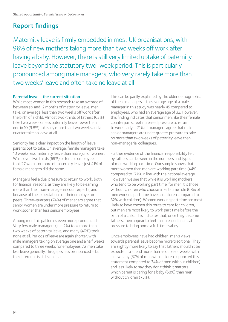## Report findings

Maternity leave is firmly embedded in most UK organisations, with 96% of new mothers taking more than two weeks off work after having a baby. However, there is still very limited uptake of paternity leave beyond the statutory two-week period. This is particularly pronounced among male managers, who very rarely take more than two weeks' leave and often take no leave at all

### Parental leave – the current situation

While most women in this research take an average of between six and 12 months of maternity leave, men take, on average, less than two weeks off work after the birth of a child. Almost two-thirds of fathers (63%) take two weeks or less paternity leave, fewer than one in 10 (9.8%) take any more than two weeks and a quarter take no leave at all.

Seniority has a clear impact on the length of leave parents opt to take. On average, female managers take 10 weeks less maternity leave than more junior women. While over two thirds (69%) of female employees took 27 weeks or more of maternity leave, just 41% of female managers did the same.

Managers feel a dual pressure to return to work, both for financial reasons, as they are likely to be earning more than their non-managerial counterparts, and because of the expectations of their employer or peers. Three-quarters (74%) of managers agree that senior women are under more pressure to return to work sooner than less senior employees.

Among men this pattern is even more pronounced. Very few male managers (just 2%) took more than two weeks of paternity leave, and many (40%) took none at all. Periods of leave are again shorter, with male managers taking on average one and a half weeks compared to three weeks for employees. As men take less leave generally, this gap is less pronounced – but the difference is still significant.

This can be partly explained by the older demographic of these managers – the average age of a male manager in this study was nearly 45 compared to employees, who had an average age of 32. However, this finding indicates that senior men, like their female counterparts, feel increased pressure to return to work early – 71% of managers agree that male senior managers are under greater pressure to take no more than two weeks of paternity leave than non-managerial colleagues.

Further evidence of the financial responsibility felt by fathers can be seen in the numbers and types of men working part time. Our sample shows that more women than men are working part time (44% compared to 17%), in line with the national average. However, we see that while it is working mothers who tend to be working part time, for men it is those without children who choose a part-time role (68% of men working part time have no children compared to 32% with children). Women working part time are most likely to have chosen this route to care for children, but men are most likely to work part time before the birth of a child. This indicates that, once they become fathers, men appear to feel an increased financial pressure to bring home a full-time salary.

Once employees have had children, men's views towards parental leave become more traditional. They are slightly more likely to say that fathers shouldn't be expected to spend more than a couple of weeks with a new baby (37% of men with children supported this statement compared to 34% of men without children) and less likely to say they don't think it matters which parent is caring for a baby (68%) than men without children (75%).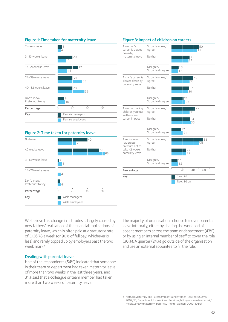

### Figure 2: Time taken for paternity leave



| A woman's<br>career is slowed                                                      | Strongly agree/<br>Agree       | 50<br>47            |  |  |
|------------------------------------------------------------------------------------|--------------------------------|---------------------|--|--|
| down by<br>maternity leave                                                         | Neither                        | 33<br>31            |  |  |
|                                                                                    | Disagree/<br>Strongly disagree | 13<br>12            |  |  |
| A man's career is<br>slowed down by<br>paternity leave                             | Strongly agree/<br>Agree       | 40<br>33            |  |  |
|                                                                                    | Neither                        | 32<br>30            |  |  |
|                                                                                    | Disagree/<br>Strongly disagree | 22<br>25            |  |  |
| A woman having<br>children younger<br>will have less<br>career impact              | Strongly agree/<br>Agree       | 44<br>33            |  |  |
|                                                                                    | Neither                        | 34<br>35            |  |  |
|                                                                                    | Disagree/<br>Strongly disagree | 17<br>21            |  |  |
| A senior man<br>has greater<br>pressure not to<br>take >2 weeks<br>paternity leave | Strongly agree/<br>Agree       | 58<br>50            |  |  |
|                                                                                    | Neither                        | 27<br>27            |  |  |
|                                                                                    | Disagree/<br>Strongly disagree | 11<br>12            |  |  |
| Percentage                                                                         |                                | 20<br>40<br>60<br>0 |  |  |
| Key                                                                                |                                | $1 + child$         |  |  |
|                                                                                    |                                | No children         |  |  |

### Figure 3: Impact of children on careers

We believe this change in attitudes is largely caused by new fathers' realisation of the financial implications of paternity leave, which is often paid at a statutory rate of £136.78 a week (or 90% of full pay, whichever is less) and rarely topped up by employers past the two week mark <sup>6</sup>

#### Dealing with parental leave

Half of the respondents (54%) indicated that someone in their team or department had taken maternity leave of more than two weeks in the last three years, and 31% said that a colleague or team member had taken more than two weeks of paternity leave.

The majority of organisations choose to cover parental leave internally, either by sharing the workload of absent members across the team or department (43%) or by using an internal member of staff to cover the role (30%). A quarter (24%) go outside of the organisation and use an external appointee to fill the role.

<span id="page-6-0"></span><sup>6</sup> NatCen Maternity and Paternity Rights and Women Returners Survey 2009/10, Department for Work and Pensions, http://www.natcen.ac.uk/ media/24607/maternity-paternity-rights-women-2009-10.pdf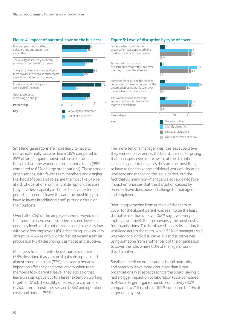### Figure 4: Impact of parental leave on the business Figure 5: Level of disruption by type of cover



#### Percentage  $\overline{0}$   $\overline{20}$   $\overline{40}$ 7 54 7 45  $\blacksquare$ 52 45 36  $44$ 43 .<br>44 4 4  $\overline{2}$  $\overline{\phantom{a}}$ 8 Key Very disruptive Slightly disruptive Not at all disruptive Not sure/prefer not to say Someone in the team or department temporarily took over the role, to cover the absence The workload was shared out amongst other members of the team or department Someone from outside the organisation was appointed for a fixed term to cover the absence Someone from outside the team or department, fromanother part of the organisation, temporarily took over the role, to cover the absence

### Smaller organisations are more likely to have to recruit externally to cover leave (35% compared to 25% of large organisations) and are also the least likely to share the workload throughout a team (35% compared to 63% of large organisations). These smaller organisations, with fewer team members and a higher likelihood of specialist roles, are the most likely to be at risk of operational or financial disruption. Because they have less capacity in-house to cover extended periods of parental leave they are the most likely to have to invest in additional staff, putting a strain on their budgets.

Over half (52%) of the employees we surveyed said that parental leave was disruptive at some level, but generally levels of disruption were seen to be very low, with very few employees (6%) describing leave as very disruptive, 46% as only slightly disruptive and a similar proportion (45%) describing it as not at all disruptive.

Managers found parental leave more disruptive (58% described it as very or slightly disruptive) and, almost three-quarters (72%) had seen a negative impact on efficiency and productivity when team members took parental leave. They also said that leave was disruptive but to a lesser extent on working together (51%), the quality of service to customers (57%), internal customer service (58%) and operation costs and budget (52%).

The more senior a manager was, the less supportive they were of leave across the board. It is not surprising that managers were more aware of the disruption caused by parental leave, as they are the most likely to have to undertake the additional work of allocating workload and managing the leave period. But the fact that so many non-managers also saw a negative impact emphasises that the disruption caused by parental leave does pose a challenge for managers and employers.

Recruiting someone from outside of the team to cover for the absent parent was seen to be the least disruptive method of cover (52% say it was very or slightly disruptive), though obviously the most costly for organisations. This is followed closely by sharing the workload across the team, which 53% of managers said was very or slightly disruptive. Most disruptive was using someone from another part of the organisation to cover the role, where 60% of managers found this disruptive.

Small and medium organisations found maternity and paternity leave more disruptive than larger organisations in all aspects across the board, saying it had a bigger impact on collaboration (62% compared to 48% of larger organisations), productivity (80% compared to 71%) and cost (62% compared to 49% of larger employers).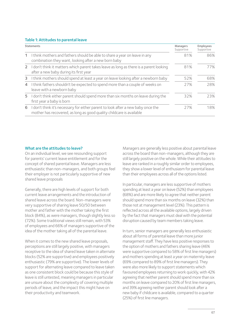### Table 1: Attitudes to parental leave

| <b>Statements</b> |                                                                                                                                                          | Managers<br>Supportive | Employees<br>Supportive |
|-------------------|----------------------------------------------------------------------------------------------------------------------------------------------------------|------------------------|-------------------------|
| 1                 | I think mothers and fathers should be able to share a year on leave in any<br>combination they want, looking after a new born baby                       | 81%                    | 86%                     |
|                   | 2 I don't think it matters which parent takes leave as long as there is a parent looking<br>after a new baby during its first year                       | 81%                    | 77%                     |
| 3                 | I think mothers should spend at least a year on leave looking after a newborn baby                                                                       | 52%                    | 68%                     |
| $\overline{4}$    | I think fathers shouldn't be expected to spend more than a couple of weeks on<br>leave with a newborn baby                                               | 27%                    | 28%                     |
| 5                 | I don't think either parent should spend more than six months on leave during the<br>first year a baby is born                                           | 32%                    | 23%                     |
| 6                 | I don't think it's necessary for either parent to look after a new baby once the<br>mother has recovered, as long as good quality childcare is available | 27%                    | 18%                     |

### What are the attitudes to leave?

On an individual level, we see resounding support for parents' current leave entitlement and for the concept of shared parental leave. Managers are less enthusiastic than non-managers, and both groups feel their employer is not particularly supportive of new shared leave proposals

Generally, there are high levels of support for both current leave arrangements and the introduction of shared leave across the board. Non-managers were very supportive of sharing leave 50/50 between mother and father with the mother taking the first block (84%), as were managers, though slightly less so (72%). Some traditional views still remain, with 53% of employees and 66% of managers supportive of the idea of the mother taking all of the parental leave.

When it comes to the new shared leave proposals, perceptions are still largely positive, with managers receptive to the idea of shared leave taken in alternate blocks (52% are supportive) and employees positively enthusiastic (79% are supportive). The lower levels of support for alternating leave compared to leave taken as one consistent block could be because this style of leave is still untested, meaning managers in particular are unsure about the complexity of covering multiple periods of leave, and the impact this might have on their productivity and teamwork.

Managers are generally less positive about parental leave across the board than non-managers, although they are still largely positive on the whole. While their attitudes to leave are ranked in a roughly similar order to employees, they show a lower level of enthusiasm for parental leave than their employees across all of the options listed.

In particular, managers are less supportive of mothers spending at least a year on leave (52%) than employees (68%) and are more likely to agree that neither parent should spend more than six months on leave (32%) than those not at management level (23%). This pattern is reflected across all the available options, largely driven by the fact that managers must deal with the potential disruption caused by team members taking leave.

In turn, senior managers are generally less enthusiastic about all forms of parental leave than more junior management staff. They have less positive responses to the option of mothers and fathers sharing leave (46% were supportive compared to 58% of first line managers) and mothers spending at least a year on maternity leave (69% compared to 89% of first line managers). They were also more likely to support statements which favoured employees returning to work quickly, with 42% agreeing that neither parent should spend more than six months on leave compared to 20% of first line managers, and 39% agreeing neither parent should look after a new baby if childcare is available, compared to a quarter (25%) of first line managers.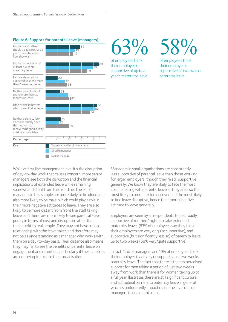

## $63\%$

of employees think their employer is supportive of up to a year's maternity leave

# 58%

of employees think their employer is supportive of two weeks paternity leave

While at first line management level it's the disruption of day-to-day work that causes concern, more senior managers see both the disruption and the financial implications of extended leave while remaining somewhat distant from the frontline. The senior managers in this sample are more likely to be older and also more likely to be male, which could play a role in their more negative attitudes to leave. They are also likely to be more distant from front line staff taking leave, and therefore more likely to see parental leave purely in terms of cost and disruption rather than the benefit to real people. They may not have a close relationship with the leave taker, and therefore may not be as understanding as a manager who works with them on a day-to-day basis. Their distance also means they may fail to see the benefits of parental leave on engagement and retention, particularly if these metrics are not being tracked in their organisation.

Managers in small organisations are consistently less supportive of parental leave than those working for larger employers, though they're still supportive generally. We know they are likely to face the most cost in dealing with parental leave as they are also the most likely to recruit external cover and the most likely to find leave disruptive, hence their more negative attitude to leave generally.

Employers are seen by all respondents to be broadly supportive of mothers' rights to take extended maternity leave, (63% of employees say they think their employers are very or quite supportive), and supportive (but significantly less so) of paternity leave up to two weeks (58% very/quite supportive).

In fact, 12% of managers and 19% of employees think their employer is actively unsupportive of two weeks paternity leave. The fact that there is far less perceived support for men taking a period of just two weeks away from work than there is for women taking up to a full year illustrates there are still significant cultural and attitudinal barriers to paternity leave in general, which is undoubtedly impacting on the level of male managers taking up this right.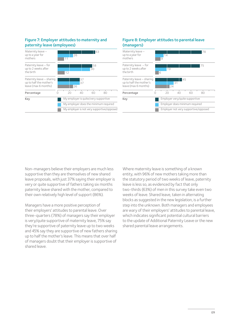### Figure 7: Employer attitudes to maternity and paternity leave (employees)

| Maternity leave -<br>up to a year for<br>mothers                             |                                       | 11                                         | 26             | 63       |    |  |
|------------------------------------------------------------------------------|---------------------------------------|--------------------------------------------|----------------|----------|----|--|
| Paternity leave - for<br>up to 2 weeks after<br>the birth                    |                                       | 12                                         |                | 58<br>30 |    |  |
| Paternity leave - sharing<br>up to half the mother's<br>leave (max 6 months) |                                       |                                            | 37<br>37<br>26 |          |    |  |
| Percentage                                                                   |                                       | 20                                         | 40             | 60       | 80 |  |
| Key                                                                          |                                       | My employer is quite/very supportive       |                |          |    |  |
|                                                                              | My employer does the minimum required |                                            |                |          |    |  |
|                                                                              |                                       | My employer is not very supportive/opposed |                |          |    |  |

### Figure 8: Employer attitudes to parental leave (managers)



Non-managers believe their employers are much less supportive than they are themselves of new shared leave proposals, with just 37% saying their employer is very or quite supportive of fathers taking six months paternity leave shared with the mother, compared to their own relatively high level of support (86%).

Managers have a more positive perception of their employers' attitudes to parental leave. Over three-quarters (78%) of managers say their employer is very/quite supportive of maternity leave, 75% say they're supportive of paternity leave up to two weeks and 45% say they are supportive of new fathers sharing up to half the mother's leave. This means that over half of managers doubt that their employer is supportive of shared leave.

Where maternity leave is something of a known entity, with 96% of new mothers taking more than the statutory period of two weeks of leave, paternity leave is less so, as evidenced by fact that only two-thirds (63%) of men in this survey take even two weeks of leave. Shared leave, taken in alternating blocks as suggested in the new legislation, is a further step into the unknown. Both managers and employees are wary of their employers' attitudes to parental leave, which indicates significant potential cultural barriers to the update of Additional Paternity Leave or the new shared parental leave arrangements.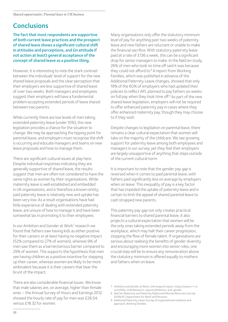## **Conclusions**

The fact that most respondents are supportive of both current leave practices and the prospect of shared leave shows a significant cultural shift in attitudes and perceptions, and (in attitude if not action at least) general acceptance of the concept of shared leave as a positive thing.

However, it is interesting to note the stark contrast between the individuals' level of support for the new shared leave proposals and the clear perception that their employers are less supportive of shared leave of over two weeks. Both managers and employees suggest their employers will have a fundamental problem accepting extended periods of leave shared between two parents.

While currently there are low levels of men taking extended paternity leave (under 10%), this new legislation provides a chance for the situation to change. We may be approaching the tipping point for parental leave, and employers must recognise the shift is occurring and educate managers and teams on new leave proposals and how to manage them.

There are significant cultural issues at play here. Despite individual responses indicating they are generally supportive of shared leave, the results suggest that men are often not considered to have the same rights as women by their organisations. While maternity leave is well established and embedded in UK organisations, and is therefore a known entity, paid paternity leave is relatively new and uptake has been very low. As a result organisations have had little experience of dealing with extended paternity leave, are unsure of how to manage it and have been somewhat lax in promoting it to their employees.

In our Ambition and Gender at Work<sup>7</sup> research we found that fathers saw having kids as either positive for their careers or at least having no negative impact (52% compared to 27% of women), whereas 9% of men saw them as a barrier/serious barrier compared to 29% of women. This supports the hypothesis that men see having children as a positive incentive for stepping up their career, whereas women are likely to be more ambivalent because it is their careers that bear the brunt of the impact.

There are also considerable financial issues. We know that male salaries are, on average, higher than female ones – the Annual Survey of Hours and Earnings 2012 showed the hourly rate of pay for men was £26.54, versus £18.32 for women.

Many organisations only offer the statutory minimum level of pay for anything past two weeks of paternity leave and new fathers are reluctant or unable to make the financial sacrifice. With statutory paternity leave paid at a rate of £136 a week, this can be a significant drop for senior managers to make. In the NatCen study, 26% of men who took no time off said it was because they could not afford to.<sup>[8](#page-11-1)</sup> A report from Working Families, which was published in advance of the Additional Paternity Leave changes, showed that only 19% of the 60% of employers who had updated their policies to reflect APL planned to pay fathers six weeks on full pay when they took time off.<sup>9</sup> As part of the new shared leave legislation, employers will not be required to offer enhanced paternity pay in cases where they offer enhanced maternity pay, though they may choose to if they wish.

Despite changes to legislation on parental leave, there remains a clear cultural expectation that women will take on the majority of the childcare. We see growing support for paternity leave among both employees and managers in our survey, yet they feel their employers are largely unsupportive of anything that steps outside of the current cultural norm.

It is important to note that the gender pay gap is reversed when it comes to paid parental leave, with fathers paid significantly less on average by employers when on leave. This inequality of pay is a key factor that has impeded the uptake of paternity leave and is certain to limit the appeal of shared parental leave to cash strapped new parents.

This paternity pay gap not only creates practical financial barriers to shared parental leave, it also projects a cultural expectation that women will be the only ones taking extended periods away from the workplace, which may halt their career progression, stopping the flow of female talent. If organisations are serious about realising the benefits of gender diversity and encouraging more women into senior roles, one crucial step will be to ensure any remuneration above the statutory minimum is offered equally to mothers and fathers when on leave.

- <span id="page-11-0"></span>7 Ambition and Gender at Work, ILM research report, https://www.i-l-m. com/Why-ILM/Research-reports/Ambition-and-gender
- <span id="page-11-1"></span>8 NatCen Maternity and Paternity Rights and Women Returners Survey 2009/10, Department for Work and Pensions
- <span id="page-11-2"></span>9 Additional Paternity Leave: Survey of organisational readiness and approach, Working Families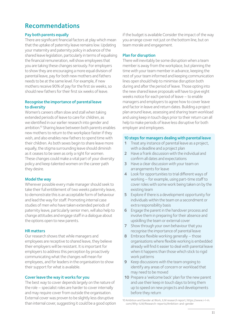## Recommendations

### Pay both parents equally

There are significant financial factors at play which mean that the uptake of paternity leave remains low. Updating your maternity and paternity policy in advance of the shared leave legislation, particularly in terms of equalising the financial remuneration, will show employees that you are taking these changes seriously. For employers to show they are encouraging a more equal division of parental leave, pay for both new mothers and fathers needs to be at the same level. For example, if new mothers receive 90% of pay for the first six weeks, so should new fathers for their first six weeks of leave.

### Recognise the importance of parental leave to diversity

Women's careers often slow and stall when taking extended periods of leave to care for children, as we identified in our earlier research into gender and ambition.<sup>10</sup> Sharing leave between both parents enables new mothers to return to the workplace faster if they wish, and also enables new fathers to spend time with their children. As both sexes begin to share leave more equally, the stigma surrounding leave should diminish as it ceases to be seen as only a right for women. These changes could make a vital part of your diversity policy and keep talented women on the career path they desire.

### Model the way

Wherever possible every male manager should seek to take their full entitlement of two weeks paternity leave, to demonstrate this is an acceptable form of behaviour and lead the way for staff. Promoting internal case studies of men who have taken extended periods of paternity leave, particularly senior men, will also help to change attitudes and engage staff in a dialogue about the options open to new parents.

### HR matters

Our research shows that while managers and employees are receptive to shared leave, they believe their employers will be resistant. It is important for employers to address this perception by proactively communicating what the changes will mean for employees, and for leaders in the organisation to show their support for what is available.

### Cover leave the way it works for you

The best way to cover depends largely on the nature of the role – specialist roles are harder to cover internally and may require cover from outside the organisation. External cover was proven to be slightly less disruptive than internal cover, suggesting it could be a good option if the budget is available Consider the impact of the way you arrange cover not just on the bottom line, but on team morale and engagement.

### Plan for disruption

There will inevitably be some disruption when a team member is away from the workplace, but planning the time with your team member in advance, keeping the rest of your team informed and keeping communication lines open should help to minimise disruption both during and after the period of leave. Those opting into the new shared leave proposals will have to give eight weeks notice for each period of leave – to enable managers and employers to agree how to cover leave and factor in leave and return dates. Building a project plan around leave, assessing and sharing team workload and using keep in touch days prior to their return can all help to make periods of leave less disruptive for both employer and employees.

### 10 steps for managers dealing with parental leave

- 1 Treat any instance of parental leave as a project, with a deadline and a project plan
- 2 Have a frank discussion with the individual and confirm all dates and expectations
- 3 Have a clear discussion with your team on arrangements for leave
- 4 Look for opportunities to trial different ways of working – for example, using part-time staff to cover roles with some work being taken on by the existing team
- 5 Explore if there is a development opportunity for individuals within the team on a secondment or extra responsibility basis
- 6 Engage the parent in the handover process and involve them in preparing for their absence and upskilling the team or external cover
- 7 Show through your own behaviour that you recognise the importance of parental leave
- 8 Embrace flexible working generally those organisations where flexible working is embedded already will find it easier to deal with parental leave when it happens than those which stick to rigid work patterns
- 9 Keep discussions with the team ongoing to identify any areas of concern or workload that may need to be moved
- 10 Prepare a 'welcome back' plan for the new parent and use their keep in touch days to bring them up to speed on new projects and developments before they return

<span id="page-12-0"></span>10 Ambition and Gender at Work, ILM research report, https://www.i-l-m. com/Why-ILM/Research-reports/Ambition-and-gender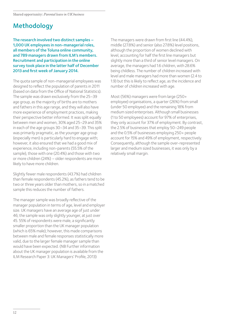## Methodology

The research involved two distinct samples – 1,000 UK employees in non-managerial roles, all members of the Toluna online community, and 789 managers drawn from ILM's members. Recruitment and participation in the online survey took place in the latter half of December 2013 and first week of January 2014.

The quota sample of non-managerial employees was designed to reflect the population of parents in 2011 (based on data from the Office of National Statistics). The sample was drawn exclusively from the 25–39 age group, as the majority of births are to mothers and fathers in this age range, and they will also have more experience of employment practices, making their perspective better informed. It was split equally between men and women, 30% aged 25–29 and 35% in each of the age groups 30–34 and 35–39. This split was primarily pragmatic, as the younger age group (especially men) is particularly hard to engage with; however, it also ensured that we had a good mix of experience, including non-parents (55.5% of the sample), those with one (20.4%) and those with two or more children (24%) – older respondents are more likely to have more children.

Slightly fewer male respondents (43.7%) had children than female respondents (45.2%), as fathers tend to be two or three years older than mothers, so in a matched sample this reduces the number of fathers.

The manager sample was broadly reflective of the manager population in terms of age, level and employer size. UK managers have an average age of just under 46; the sample was only slightly younger, at just over 45. 55% of respondents were male, a significantly smaller proportion than the UK manager population (which is 65% male); however, this made comparisons between male and female responses statistically more valid, due to the larger female manager sample than would have been expected. (NB Further information about the UK manager population is available from the ILM Research Paper 3: UK Managers' Profile, 2013)

The managers were drawn from first line (44.4%), middle (27.8%) and senior (also 27.8%) level positions, although the proportion of women declined with level, accounting for half the first line managers but slightly more than a third of senior level managers. On average, the managers had 1.6 children, with 28.6% being childless. The number of children increased with level and male managers had more than women (2.4 to 1.9) but this is likely to reflect age, as the incidence and number of children increased with age.

Most (56%) managers were from large (250+ employee) organisations, a quarter (26%) from small (under 50 employee) and the remaining 18% from medium sized enterprises. Although small businesses (1 to 50 employees) account for 97% of enterprises, they only account for 37% of employment. By contrast, the 2.5% of businesses that employ 50–249 people and the 0.5% of businesses employing 250+ people account for 15% and 49% of employment, respectively. Consequently, although the sample over-represented larger and medium sized businesses, it was only by a relatively small margin.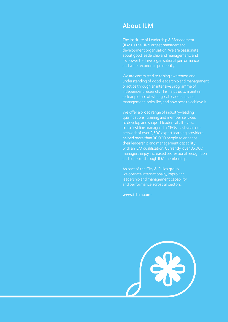## About ILM

The Institute of Leadership & Management (ILM) is the UK's largest management development organisation. We are passionate about good leadership and management, and its power to drive organisational performance and wider economic prosperity.

We are committed to raising awareness and understanding of good leadership and management practice through an intensive programme of independent research. This helps us to maintain a clear picture of what great leadership and management looks like, and how best to achieve it.

We offer a broad range of industry-leading qualifications, training and member services to develop and support leaders at all levels, from first line managers to CEOs. Last year, our network of over 2,500 expert learning providers helped more than 90,000 people to enhance their leadership and management capability with an ILM qualification. Currently, over 35,000 managers enjoy increased professional recognition and support through ILM membership.

As part of the City & Guilds group, we operate internationally, improving leadership and management capability and performance across all sectors.

www.i-l-m.com